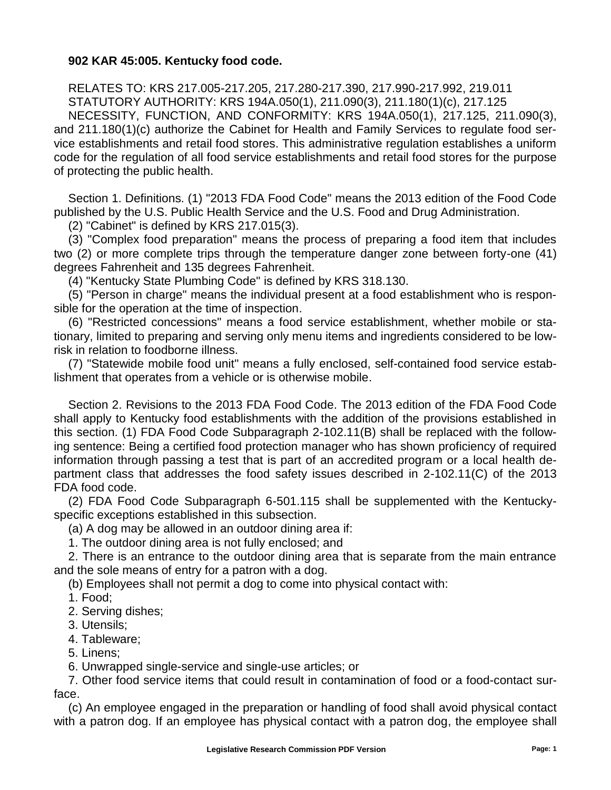## **902 KAR 45:005. Kentucky food code.**

RELATES TO: KRS 217.005-217.205, 217.280-217.390, 217.990-217.992, 219.011 STATUTORY AUTHORITY: KRS 194A.050(1), 211.090(3), 211.180(1)(c), 217.125 NECESSITY, FUNCTION, AND CONFORMITY: KRS 194A.050(1), 217.125, 211.090(3), and 211.180(1)(c) authorize the Cabinet for Health and Family Services to regulate food service establishments and retail food stores. This administrative regulation establishes a uniform code for the regulation of all food service establishments and retail food stores for the purpose of protecting the public health.

Section 1. Definitions. (1) "2013 FDA Food Code" means the 2013 edition of the Food Code published by the U.S. Public Health Service and the U.S. Food and Drug Administration.

(2) "Cabinet" is defined by KRS 217.015(3).

(3) "Complex food preparation" means the process of preparing a food item that includes two (2) or more complete trips through the temperature danger zone between forty-one (41) degrees Fahrenheit and 135 degrees Fahrenheit.

(4) "Kentucky State Plumbing Code" is defined by KRS 318.130.

(5) "Person in charge" means the individual present at a food establishment who is responsible for the operation at the time of inspection.

(6) "Restricted concessions" means a food service establishment, whether mobile or stationary, limited to preparing and serving only menu items and ingredients considered to be lowrisk in relation to foodborne illness.

(7) "Statewide mobile food unit" means a fully enclosed, self-contained food service establishment that operates from a vehicle or is otherwise mobile.

Section 2. Revisions to the 2013 FDA Food Code. The 2013 edition of the FDA Food Code shall apply to Kentucky food establishments with the addition of the provisions established in this section. (1) FDA Food Code Subparagraph 2-102.11(B) shall be replaced with the following sentence: Being a certified food protection manager who has shown proficiency of required information through passing a test that is part of an accredited program or a local health department class that addresses the food safety issues described in 2-102.11(C) of the 2013 FDA food code.

(2) FDA Food Code Subparagraph 6-501.115 shall be supplemented with the Kentuckyspecific exceptions established in this subsection.

(a) A dog may be allowed in an outdoor dining area if:

1. The outdoor dining area is not fully enclosed; and

2. There is an entrance to the outdoor dining area that is separate from the main entrance and the sole means of entry for a patron with a dog.

(b) Employees shall not permit a dog to come into physical contact with:

1. Food;

- 2. Serving dishes;
- 3. Utensils;
- 4. Tableware;
- 5. Linens;

6. Unwrapped single-service and single-use articles; or

7. Other food service items that could result in contamination of food or a food-contact surface.

(c) An employee engaged in the preparation or handling of food shall avoid physical contact with a patron dog. If an employee has physical contact with a patron dog, the employee shall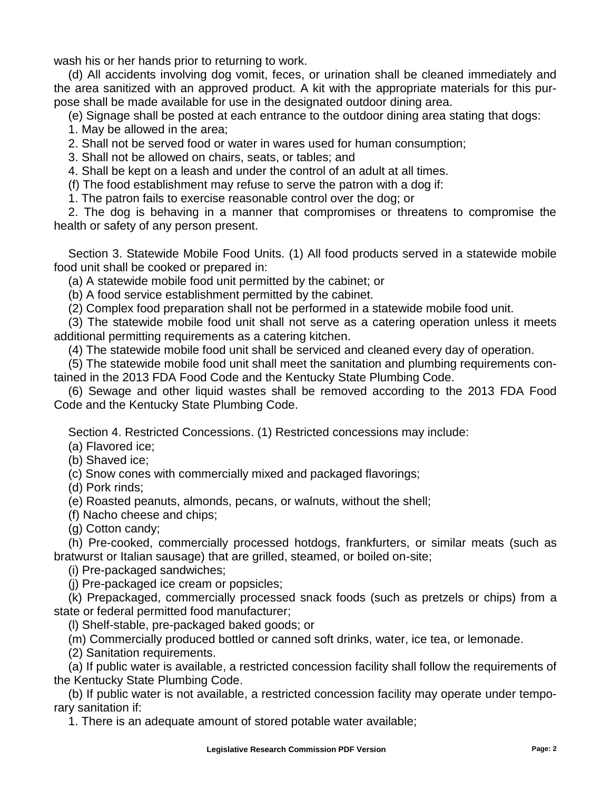wash his or her hands prior to returning to work.

(d) All accidents involving dog vomit, feces, or urination shall be cleaned immediately and the area sanitized with an approved product. A kit with the appropriate materials for this purpose shall be made available for use in the designated outdoor dining area.

(e) Signage shall be posted at each entrance to the outdoor dining area stating that dogs:

1. May be allowed in the area;

2. Shall not be served food or water in wares used for human consumption;

3. Shall not be allowed on chairs, seats, or tables; and

4. Shall be kept on a leash and under the control of an adult at all times.

(f) The food establishment may refuse to serve the patron with a dog if:

1. The patron fails to exercise reasonable control over the dog; or

2. The dog is behaving in a manner that compromises or threatens to compromise the health or safety of any person present.

Section 3. Statewide Mobile Food Units. (1) All food products served in a statewide mobile food unit shall be cooked or prepared in:

(a) A statewide mobile food unit permitted by the cabinet; or

(b) A food service establishment permitted by the cabinet.

(2) Complex food preparation shall not be performed in a statewide mobile food unit.

(3) The statewide mobile food unit shall not serve as a catering operation unless it meets additional permitting requirements as a catering kitchen.

(4) The statewide mobile food unit shall be serviced and cleaned every day of operation.

(5) The statewide mobile food unit shall meet the sanitation and plumbing requirements contained in the 2013 FDA Food Code and the Kentucky State Plumbing Code.

(6) Sewage and other liquid wastes shall be removed according to the 2013 FDA Food Code and the Kentucky State Plumbing Code.

Section 4. Restricted Concessions. (1) Restricted concessions may include:

(a) Flavored ice;

(b) Shaved ice;

(c) Snow cones with commercially mixed and packaged flavorings;

(d) Pork rinds;

(e) Roasted peanuts, almonds, pecans, or walnuts, without the shell;

(f) Nacho cheese and chips;

(g) Cotton candy;

(h) Pre-cooked, commercially processed hotdogs, frankfurters, or similar meats (such as bratwurst or Italian sausage) that are grilled, steamed, or boiled on-site;

(i) Pre-packaged sandwiches;

(j) Pre-packaged ice cream or popsicles;

(k) Prepackaged, commercially processed snack foods (such as pretzels or chips) from a state or federal permitted food manufacturer;

(l) Shelf-stable, pre-packaged baked goods; or

(m) Commercially produced bottled or canned soft drinks, water, ice tea, or lemonade.

(2) Sanitation requirements.

(a) If public water is available, a restricted concession facility shall follow the requirements of the Kentucky State Plumbing Code.

(b) If public water is not available, a restricted concession facility may operate under temporary sanitation if:

1. There is an adequate amount of stored potable water available;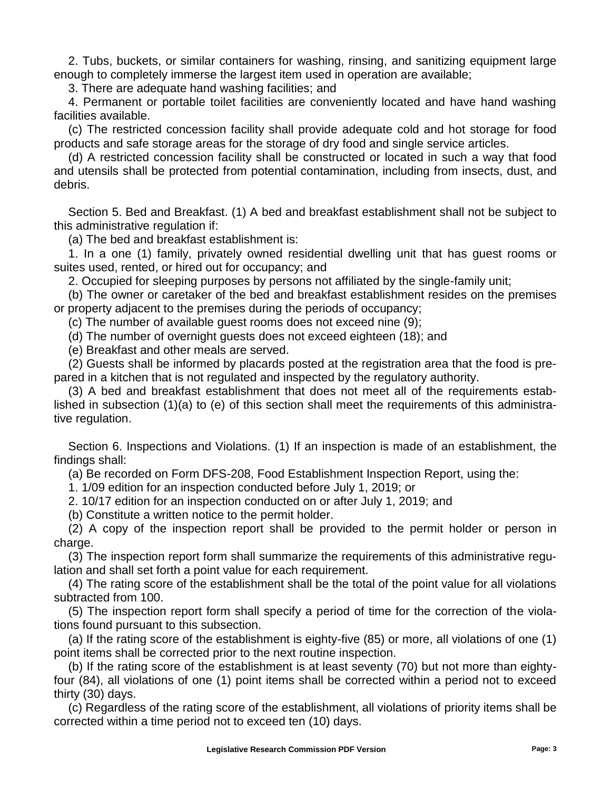2. Tubs, buckets, or similar containers for washing, rinsing, and sanitizing equipment large enough to completely immerse the largest item used in operation are available;

3. There are adequate hand washing facilities; and

4. Permanent or portable toilet facilities are conveniently located and have hand washing facilities available.

(c) The restricted concession facility shall provide adequate cold and hot storage for food products and safe storage areas for the storage of dry food and single service articles.

(d) A restricted concession facility shall be constructed or located in such a way that food and utensils shall be protected from potential contamination, including from insects, dust, and debris.

Section 5. Bed and Breakfast. (1) A bed and breakfast establishment shall not be subject to this administrative regulation if:

(a) The bed and breakfast establishment is:

1. In a one (1) family, privately owned residential dwelling unit that has guest rooms or suites used, rented, or hired out for occupancy; and

2. Occupied for sleeping purposes by persons not affiliated by the single-family unit;

(b) The owner or caretaker of the bed and breakfast establishment resides on the premises or property adjacent to the premises during the periods of occupancy;

(c) The number of available guest rooms does not exceed nine (9);

(d) The number of overnight guests does not exceed eighteen (18); and

(e) Breakfast and other meals are served.

(2) Guests shall be informed by placards posted at the registration area that the food is prepared in a kitchen that is not regulated and inspected by the regulatory authority.

(3) A bed and breakfast establishment that does not meet all of the requirements established in subsection (1)(a) to (e) of this section shall meet the requirements of this administrative regulation.

Section 6. Inspections and Violations. (1) If an inspection is made of an establishment, the findings shall:

(a) Be recorded on Form DFS-208, Food Establishment Inspection Report, using the:

1. 1/09 edition for an inspection conducted before July 1, 2019; or

2. 10/17 edition for an inspection conducted on or after July 1, 2019; and

(b) Constitute a written notice to the permit holder.

(2) A copy of the inspection report shall be provided to the permit holder or person in charge.

(3) The inspection report form shall summarize the requirements of this administrative regulation and shall set forth a point value for each requirement.

(4) The rating score of the establishment shall be the total of the point value for all violations subtracted from 100.

(5) The inspection report form shall specify a period of time for the correction of the violations found pursuant to this subsection.

(a) If the rating score of the establishment is eighty-five (85) or more, all violations of one (1) point items shall be corrected prior to the next routine inspection.

(b) If the rating score of the establishment is at least seventy (70) but not more than eightyfour (84), all violations of one (1) point items shall be corrected within a period not to exceed thirty (30) days.

(c) Regardless of the rating score of the establishment, all violations of priority items shall be corrected within a time period not to exceed ten (10) days.